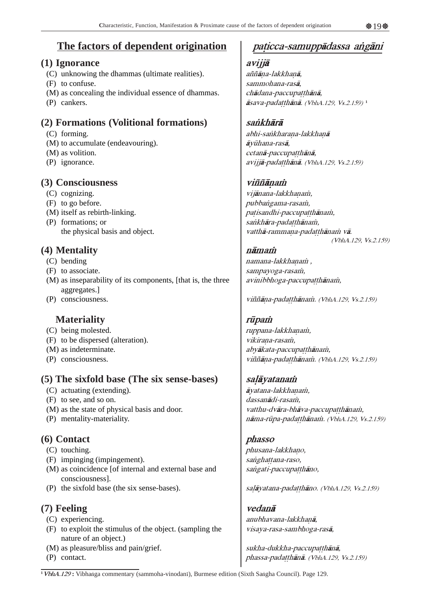# **The factors of dependent origination**

### **(1) Ignorance**

- (C) unknowing the dhammas (ultimate realities).
- (F) to confuse.
- (M) as concealing the individual essence of dhammas.
- (P) cankers.

## **(2) Formations (Volitional formations)**

- (C) forming.
- (M) to accumulate (endeavouring).
- (M) as volition.
- (P) ignorance.

## **(3) Consciousness**

- (C) cognizing.
- (F) to go before.
- (M) itself as rebirth-linking.
- (P) formations; or the physical basis and object.

## **(4) Mentality**

- (C) bending
- (F) to associate.
- (M) as inseparability of its components, [that is, the three aggregates.]
- (P) consciousness.

## **Materiality**

- (C) being molested.
- (F) to be dispersed (alteration).
- (M) as indeterminate.
- (P) consciousness.

## **(5) The sixfold base (The six sense-bases)**

- (C) actuating (extending).
- (F) to see, and so on.
- (M) as the state of physical basis and door.
- (P) mentality-materiality.

## **(6) Contact**

- (C) touching.
- (F) impinging (impingement).
- (M) as coincidence [of internal and external base and consciousness].
- (P) the sixfold base (the six sense-bases).

## **(7) Feeling**

- (C) experiencing.
- (F) to exploit the stimulus of the object. (sampling the nature of an object.)
- (M) as pleasure/bliss and pain/grief.
- (P) contact.

# paticca-samuppādassa angāni

#### avijjå

aññāna-lakkhanā, sammohana-raså, chādana-paccupatthānā, åsava-pada hånå. (VbhA.129, Vs.2.159)**<sup>1</sup>**

## sańkhārā

abhi-sankharana-lakkhanā åyËhana-raså, cetanā-paccupatthānā, avijjā-padatthānā. (VbhA.129, Vs.2.159)

## viññānam

vijānana-lakkhanam, pubbangama-rasam, patisandhi-paccupatthānam, sankhāra-padatthānam, vatthā-rammana-pada thānam vā. (VbhA.129, Vs.2.159)

### nāmaṁ

namana-lakkhanam, sampayoga-rasam, avinibbhoga-paccupatthānam,

viññāna-padatthānam. (VbhA.129, Vs.2.159)

## rūpam

ruppana-lakkhanam, vikirana-rasam, abyākata-paccupatthānam, viññāna-padatthānam. (VbhA.129, Vs.2.159)

### salāyatanam

āyatana-lakkhanam, dassanādi-rasam. vatthu-dvāra-bhāva-paccupatthānam, nāma-rūpa-padatthānam. (VbhA.129, Vs.2.159)

### phasso

phusana-lakkhano, sanghattana-raso, sangati-paccupatthāno,

salāyatana-padatthāno. (VbhA.129, Vs.2.159)

### vedanå anubhavana-lakkhanā, visaya-rasa-sambhoga-raså,

sukha-dukkha-paccupatthānā, phassa-padatthānā. (VbhA.129, Vs.2.159)

<sup>1</sup> VbhA.129: Vibhanga commentary (sammoha-vinodanī), Burmese edition (Sixth Sangha Council). Page 129.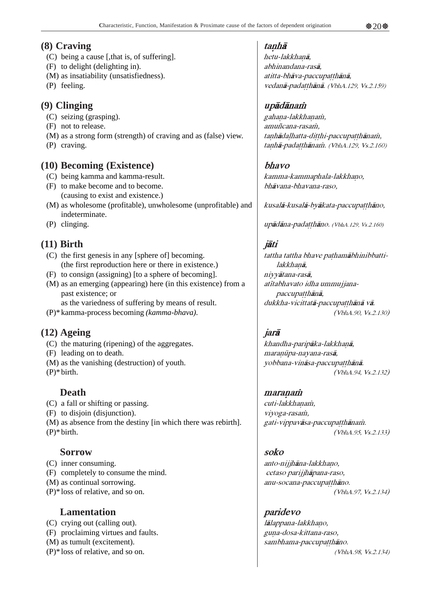### **(8) Craving**

- (C) being a cause [,that is, of suffering].
- (F) to delight (delighting in).
- (M) as insatiability (unsatisfiedness).
- (P) feeling.

## **(9) Clinging**

- (C) seizing (grasping).
- (F) not to release.
- (M) as a strong form (strength) of craving and as (false) view.
- (P) craving.

## **(10) Becoming (Existence)**

- (C) being kamma and kamma-result.
- (F) to make become and to become. (causing to exist and existence.)
- (M) as wholesome (profitable), unwholesome (unprofitable) and indeterminate.
- (P) clinging.

## **(11) Birth**

- (C) the first genesis in any [sphere of] becoming. (the first reproduction here or there in existence.)
- (F) to consign (assigning) [to a sphere of becoming].
- (M) as an emerging (appearing) here (in this existence) from a past existence; or
- as the variedness of suffering by means of result.
- (P)\*kamma-process becoming *(kamma-bhava)*.

## **(12) Ageing**

- (C) the maturing (ripening) of the aggregates.
- (F) leading on to death.
- (M) as the vanishing (destruction) of youth.
- (P)\*birth.

## **Death**

- (C) a fall or shifting or passing.
- (F) to disjoin (disjunction).

(M) as absence from the destiny [in which there was rebirth]. (P)\*birth.

### **Sorrow**

- (C) inner consuming.
- (F) completely to consume the mind.
- (M) as continual sorrowing.
- (P)\*loss of relative, and so on.

### **Lamentation**

- (C) crying out (calling out).
- (F) proclaiming virtues and faults.
- (M) as tumult (excitement).
- (P)\*loss of relative, and so on.

## tanha

hetu-lakkhanā, abhinandana-raså, atitta-bhāva-paccupatthānā, vedanā-padatthānā. (VbhA.129, Vs.2.159)

## upādānam

gahana-lakkhanam, amuñcana-rasam, tanhādaļhatta-di thi-paccupa thānam, tanhā-padatthānam. (VbhA.129, Vs.2.160)

### bhavo

kamma-kammaphala-lakkhano, bhåvana-bhavana-raso,

kusalā-kusalā-byākata-paccupa thāno,

upādāna-padatthāno. (VbhA.129, Vs.2.160)

## jåti

tattha tattha bhave pathamābhinibbattilakkhanā, niyyåtana-raså, atītabhavato idha ummujjanapaccupatthānā, dukkha-vicittatā-paccupatthānā vā. (VbhA.90, Vs.2.130)

## jarå

khandha-paripāka-lakkhanā, maranūpa-nayana-rasā, yobbana-vināsa-paccupatthānā. (VbhA.94, Vs.2.132)

#### maranam

cuti-lakkhanam, viyoga-rasam, gati-vippavāsa-paccupatthānam. (VbhA.95, Vs.2.133)

#### soko

anto-nijjhāna-lakkhano, cetaso parijjhåpana-raso, anu-socana-paccupatthano. (VbhA.97, Vs.2.134)

(VbhA.98, Vs.2.134)

paridevo lālappana-lakkhano, guna-dosa-kittana-raso, sambhama-paccupatthāno.